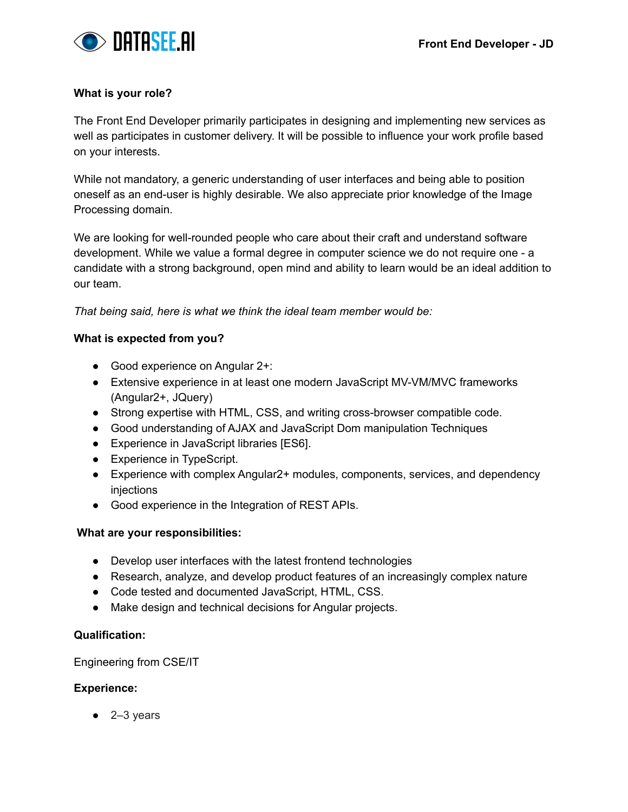

## **What is your role?**

The Front End Developer primarily participates in designing and implementing new services as well as participates in customer delivery. It will be possible to influence your work profile based on your interests.

While not mandatory, a generic understanding of user interfaces and being able to position oneself as an end-user is highly desirable. We also appreciate prior knowledge of the Image Processing domain.

We are looking for well-rounded people who care about their craft and understand software development. While we value a formal degree in computer science we do not require one - a candidate with a strong background, open mind and ability to learn would be an ideal addition to our team.

*That being said, here is what we think the ideal team member would be:*

#### **What is expected from you?**

- Good experience on Angular 2+:
- Extensive experience in at least one modern JavaScript MV-VM/MVC frameworks (Angular2+, JQuery)
- Strong expertise with HTML, CSS, and writing cross-browser compatible code.
- Good understanding of AJAX and JavaScript Dom manipulation Techniques
- Experience in JavaScript libraries [ES6].
- Experience in TypeScript.
- Experience with complex Angular2+ modules, components, services, and dependency injections
- Good experience in the Integration of REST APIs.

#### **What are your responsibilities:**

- Develop user interfaces with the latest frontend technologies
- Research, analyze, and develop product features of an increasingly complex nature
- Code tested and documented JavaScript, HTML, CSS.
- Make design and technical decisions for Angular projects.

## **Qualification:**

Engineering from CSE/IT

## **Experience:**

● 2–3 years